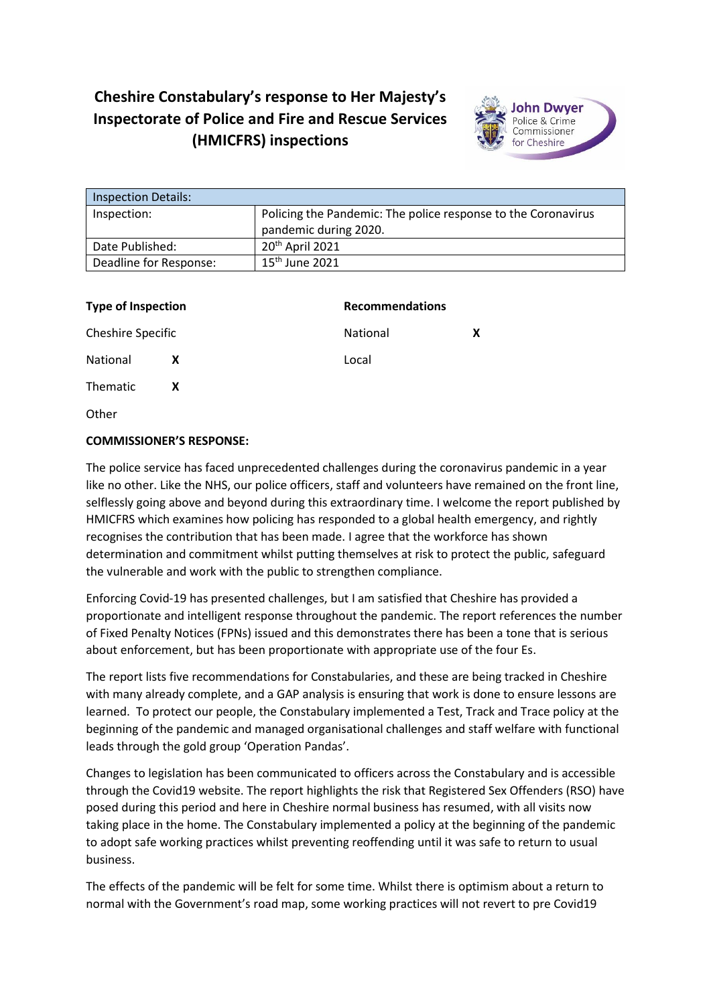## **Cheshire Constabulary's response to Her Majesty's Inspectorate of Police and Fire and Rescue Services (HMICFRS) inspections**



| <b>Inspection Details:</b> |                                                               |  |
|----------------------------|---------------------------------------------------------------|--|
| Inspection:                | Policing the Pandemic: The police response to the Coronavirus |  |
|                            | pandemic during 2020.                                         |  |
| Date Published:            | 20 <sup>th</sup> April 2021                                   |  |
| Deadline for Response:     | $15th$ June 2021                                              |  |

| <b>Type of Inspection</b> |   | <b>Recommendations</b> |   |
|---------------------------|---|------------------------|---|
| Cheshire Specific         |   | National               | х |
| National                  | X | Local                  |   |
| Thematic                  | X |                        |   |
| Other                     |   |                        |   |

## **COMMISSIONER'S RESPONSE:**

The police service has faced unprecedented challenges during the coronavirus pandemic in a year like no other. Like the NHS, our police officers, staff and volunteers have remained on the front line, selflessly going above and beyond during this extraordinary time. I welcome the report published by HMICFRS which examines how policing has responded to a global health emergency, and rightly recognises the contribution that has been made. I agree that the workforce has shown determination and commitment whilst putting themselves at risk to protect the public, safeguard the vulnerable and work with the public to strengthen compliance.

Enforcing Covid-19 has presented challenges, but I am satisfied that Cheshire has provided a proportionate and intelligent response throughout the pandemic. The report references the number of Fixed Penalty Notices (FPNs) issued and this demonstrates there has been a tone that is serious about enforcement, but has been proportionate with appropriate use of the four Es.

The report lists five recommendations for Constabularies, and these are being tracked in Cheshire with many already complete, and a GAP analysis is ensuring that work is done to ensure lessons are learned. To protect our people, the Constabulary implemented a Test, Track and Trace policy at the beginning of the pandemic and managed organisational challenges and staff welfare with functional leads through the gold group 'Operation Pandas'.

Changes to legislation has been communicated to officers across the Constabulary and is accessible through the Covid19 website. The report highlights the risk that Registered Sex Offenders (RSO) have posed during this period and here in Cheshire normal business has resumed, with all visits now taking place in the home. The Constabulary implemented a policy at the beginning of the pandemic to adopt safe working practices whilst preventing reoffending until it was safe to return to usual business.

The effects of the pandemic will be felt for some time. Whilst there is optimism about a return to normal with the Government's road map, some working practices will not revert to pre Covid19